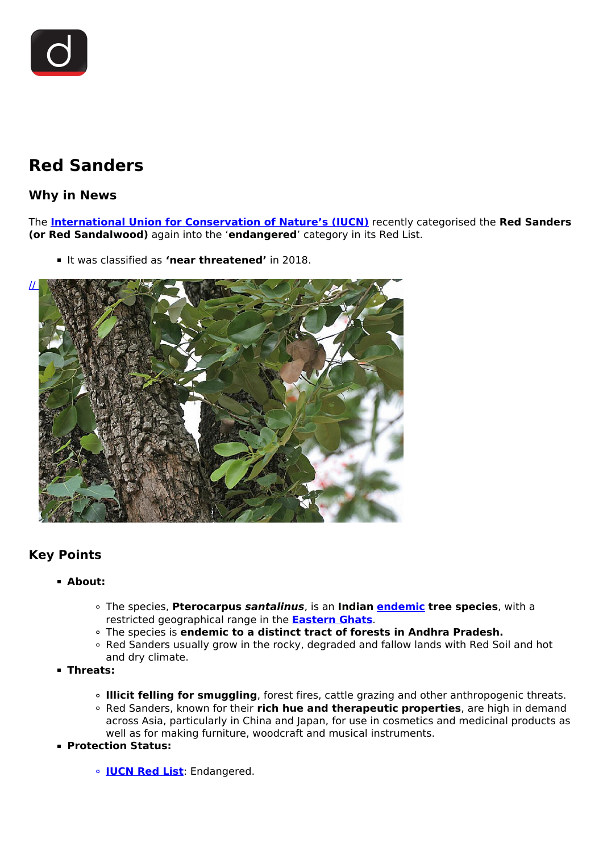

# **Red Sanders**

## **Why in News**

The **[International Union for Conservation of Nature's \(IUCN\)](/daily-updates/daily-news-analysis/iucn-world-conservation-congress#:~:text=International%20Union%20for%20Conservation%20of,It%20is%20headquartered%20in%20Switzerland.)** recently categorised the **Red Sanders (or Red Sandalwood)** again into the '**endangered**' category in its Red List.

If was classified as **'near threatened'** in 2018.



## **Key Points**

### **About:**

- The species, **Pterocarpus** *santalinus*, is an **Indian [endemic](/daily-updates/daily-news-analysis/endemic-disease) tree species**, with a restricted geographical range in the **[Eastern Ghats](/daily-updates/daily-news-editorials/climate-change-and-the-eastern-ghats)**.
- The species is **endemic to a distinct tract of forests in Andhra Pradesh.**
- Red Sanders usually grow in the rocky, degraded and fallow lands with Red Soil and hot and dry climate.
- **Threats:**
	- **Illicit felling for smuggling**, forest fires, cattle grazing and other anthropogenic threats. Red Sanders, known for their **rich hue and therapeutic properties**, are high in demand across Asia, particularly in China and Japan, for use in cosmetics and medicinal products as well as for making furniture, woodcraft and musical instruments.
- **Protection Status:**
	- **[IUCN Red List](/daily-updates/daily-news-analysis/iucn-world-conservation-congress#:~:text=International%20Union%20for%20Conservation%20of,It%20is%20headquartered%20in%20Switzerland.)**: Endangered.